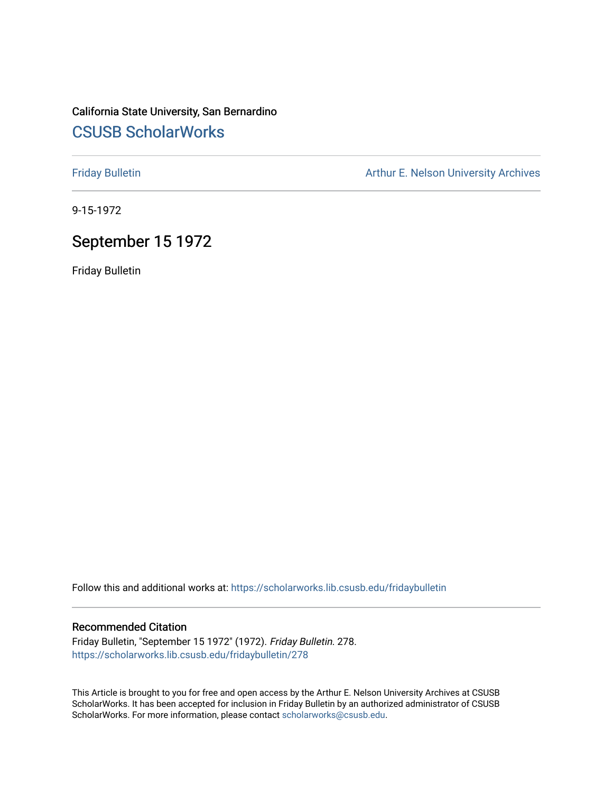## California State University, San Bernardino [CSUSB ScholarWorks](https://scholarworks.lib.csusb.edu/)

[Friday Bulletin](https://scholarworks.lib.csusb.edu/fridaybulletin) **Arthur E. Nelson University Archives** Arthur E. Nelson University Archives

9-15-1972

## September 15 1972

Friday Bulletin

Follow this and additional works at: [https://scholarworks.lib.csusb.edu/fridaybulletin](https://scholarworks.lib.csusb.edu/fridaybulletin?utm_source=scholarworks.lib.csusb.edu%2Ffridaybulletin%2F278&utm_medium=PDF&utm_campaign=PDFCoverPages)

## Recommended Citation

Friday Bulletin, "September 15 1972" (1972). Friday Bulletin. 278. [https://scholarworks.lib.csusb.edu/fridaybulletin/278](https://scholarworks.lib.csusb.edu/fridaybulletin/278?utm_source=scholarworks.lib.csusb.edu%2Ffridaybulletin%2F278&utm_medium=PDF&utm_campaign=PDFCoverPages)

This Article is brought to you for free and open access by the Arthur E. Nelson University Archives at CSUSB ScholarWorks. It has been accepted for inclusion in Friday Bulletin by an authorized administrator of CSUSB ScholarWorks. For more information, please contact [scholarworks@csusb.edu.](mailto:scholarworks@csusb.edu)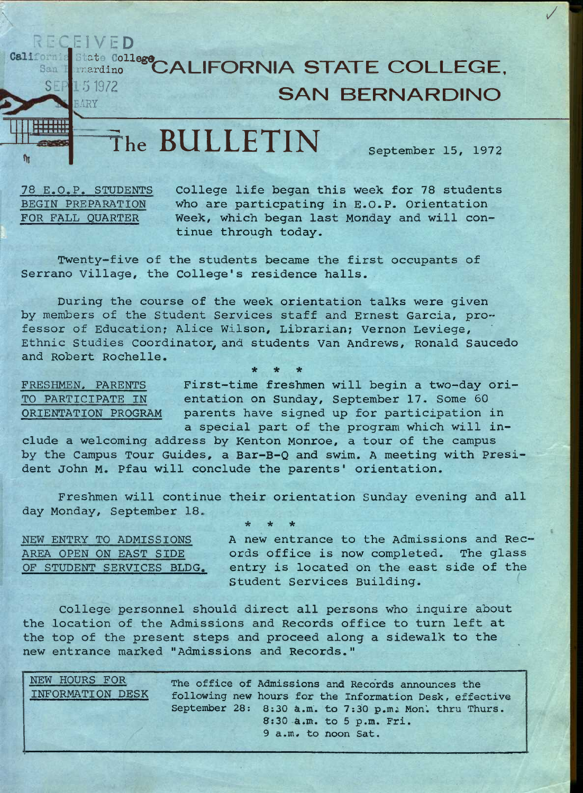## California State College CALIFORNIA STATE COLLEGE, **SAN BERNARDINO**

**the BULLETIN September 15, 1972** 

/

**78 E.O.P. STUDENTS BEGIN PREPARATION FOR FALL QUARTER** 

RECEIVED

**SEP** 5 1972

**rttown** 

 $\eta_1$ 

**College life began this week for 78 students who are particpating in E.O.P. Orientation Week, which began last Monday and will continue through today.** 

**Twenty-five of the students became the first occupants of Serrano Village, the College's residence halls.** 

**During the course of the week orientation talks were given by members of the Student Services staff and Ernest Garcia, professor of Education; Alice Wilson, Librarian; Vernon Leviege, Ethnic Studies Coordinator^and students Van Andrews, Ronald Saucedo and Robert Rochelle. \* \* \*** 

**FRESHMEN. PARENTS TO PARTICIPATE IN ORIENTATION PROGRAM** 

**First-time freshmen will begin a two-day orientation on Sunday, September 17. Some 60 parents have signed up for participation in a special part of the program which will in-**

**clude a welcoming address by Kenton Monroe, a tour of the campus by the Campus Tour Guides, a Bar-B-Q and swim. A meeting with President John M. Pfau will conclude the parents' orientation.** 

**Freshmen will continue their orientation Sunday evening and all day Monday, September 18, \* \* \*** 

**NEW ENTRY TO ADMISSIONS AREA OPEN ON EAST SIDE OF STUDENT SERVICES BLDG.**  **A new entrance to the Admissions and Records office is now completed. The glass entry is located oh the east side of the Student Services Building.** 

**College personnel should direct all persons who inquire about the location of the Admissions and Records office to turn left at the top of the present steps and proceed along a sidewalk to the new entrance marked "Admissions and Records."** 

**NEW HOURS FOR INFORMATION DESK**  The office of Admissions and Records announces the **following new hours for the Information Pesk, effective September** 28; 8:30 a**.m. to** 7:30 **p.mi Hon', thru Thurs.**  8:30 a**.m. to 5 p.m. Fri. 9 a.m. to noon Sat.**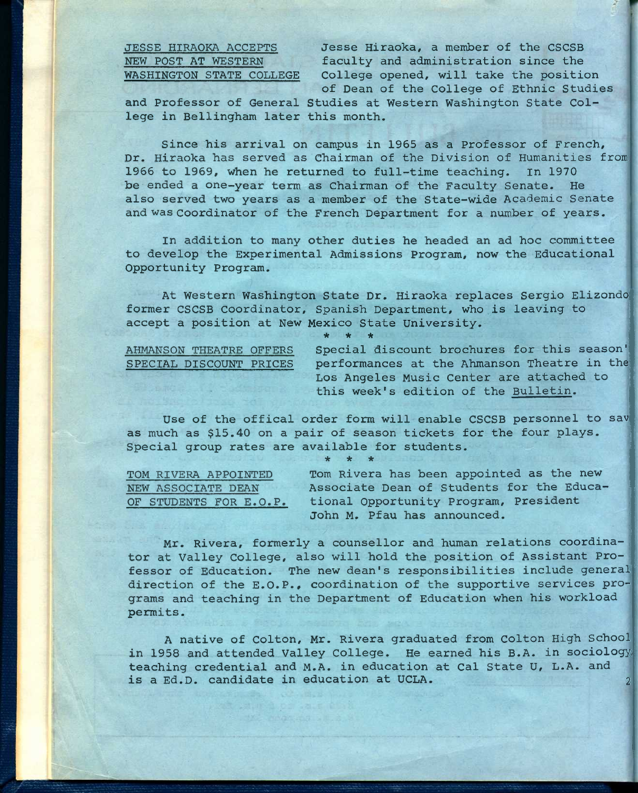**JESSE HIRAOKA ACCEPTS Jesse Hiraoka, a member of the CSCSB NEW POST AT WESTERN faculty and administration since the WASHINGTON STATE COLLEGE College opened, will take the position of Dean of the College of Ethnic Studies** 

**and Professor of General Studies at Western Washington State College in Bellingham later this month.** 

**Since his arrival on campus in 1965 as a Professor of French, Dr. Hiraoka has served as Chairman of the Division of Humanities from 1966 to 1969, When he returned to full-time teaching. In 1970 be ended a one-year term as Chairman of the Faculty Senate. He also served two years as a member of the State-wide Academic Senate and was Coordinator of the French Department for a number of years.** 

**In addition to many other duties he headed an ad hoc committee to develop the Experimental Admissions Program, now the Educational Opportunity Program.** 

**At Western Washington State Dr. Hiraoka replaces Sergio Elizondo former CSCSB Coordinator, Spanish Department, who is leaving to accept a position at New Mexico State University.** 

**\* \* \*** 

| AHMANSON | THEATRE OFFERS          |  |
|----------|-------------------------|--|
|          | SPECIAL DISCOUNT PRICES |  |
|          |                         |  |

Special discount brochures for this season' performances at the Ahmanson Theatre in the Los Angeles Music Center are attached to **this week's edition of the Bulletin.** 

**Use of the offical order form will enable CSCSB personnel to sav as much as \$15.40 on a pair of season tickets for the four plays. Special group rates are available for students. \* \* \*** 

| TOM RIVERA APPOINTED   | Tom Rivera has been appointed as the new  |
|------------------------|-------------------------------------------|
| NEW ASSOCIATE DEAN     | Associate Dean of Students for the Educa- |
| OF STUDENTS FOR E.O.P. | tional Opportunity Program, President     |
|                        | John M. Pfau has announced.               |

**Mr. Rivera, formerly a counsellor and human relations coordinator at Valley College, also will hold the position of Assistant Professor of Education. The new dean's responsibilities include general direction of the E.O.P., coordination of the supportive services programs and teaching in the Department of Education when his workload**  permits.

**A native of Colton, Mr. Rivera graduated from Colton High School in 1958 and attended Valley College. He earned his B.A. in sociology, teaching credential and M.A. in education at Cal State U, L.A. and is a Ed.D. candidate in education at UCLA. 2**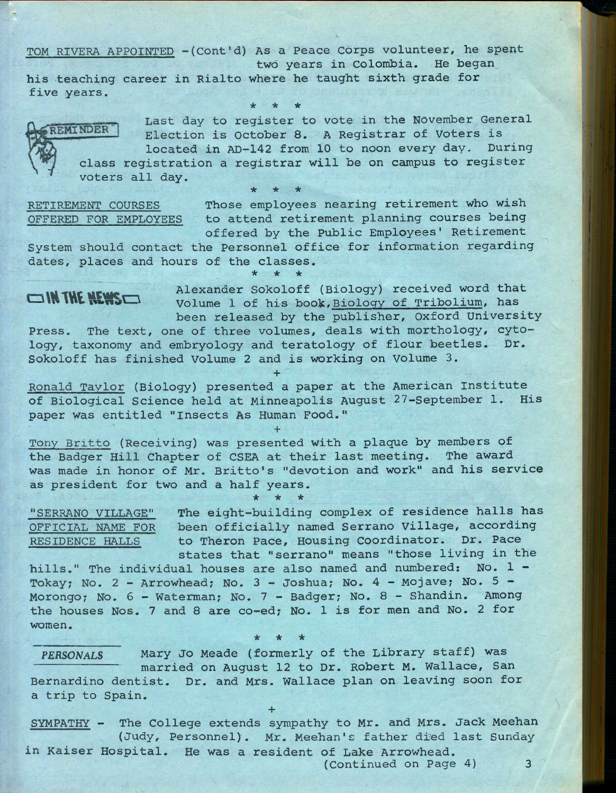**TOM RIVERA APPOINTED -(Cont'd) As a Peace Corps volunteer, he spent** 

**two years in Colombia. He began his teaching career in Rialto where he taught sixth grade for five years.** 

**Last day to register to vote in the November General**  REMINDER<sup>®</sup> **Election is October 8. A Registrar of Voters is located in AD-142 from 10 to noon every day. During class registration a registrar will be on campus to register voters all day. \* \* \*** 

**\* \* \*** 

**RETIREMENT COURSES Those employees nearing retirement who wish OFFERED FOR EMPLOYEES to attend retirement planning courses being offered by the Public Employees' Retirement** 

System should contact the Personnel office for information regarding **dates, places and hours of the classes. \* \* \*** 

**IN THE NEWS** Alexander Sokoloff (Biology) received word that Volume 1 of his book, Biology of Tribolium, has **been released by the publisher, Oxford University** 

**Press. The text, one of three volumes, deals with morthology, cytology, taxonomy and embryology and teratology of flour beetles. Dr. Sokoloff has finished Volume 2 and is working on volume 3.** 

**+** 

**Ronald Taylor (Biology) presented a paper at the American Institute of Biological Science held at Minneapolis August 27-September 1. His paper was entitled "Insects As Human Food."** 

**+** 

**Tony Britto (Receiving) was presented with a plaque by members of the Badger Hill Chapter of CSEA at their last meeting. The award was made in honor of Mr. Britto's "devotion and work" and his service as president for two and a half years.** 

**\* \* \*** 

**"SERRANO VILLAGE" The eight-building complex of residence halls has OFFICIAL NAME FOR been officially named Serrano Village, according RESIDENCE HALLS to Theron Pace, Housing Coordinator. Dr. Pace states that "serrano" means "those living in the** 

**hills." The individual houses are also named and numbered: No. 1 - Tokay; No. 2 - Arrowhead; No. 3 - Joshua; No. 4 - Mojave; No. 5 - Morongo; No. 6 - Waterman; No. 7 - Badger; No. 8 - Shandin. Among the houses Nos. 7 and 8 are co-ed; No. 1 is for men and No. 2 for women. \* \* \*** 

*PERSONALS* **Mary Jo Meade (formerly of the Library staff) was married on August 12 to Dr. Robert M. Wallace, San Bernardino dentist. Dr. and Mrs. Wallace plan on leaving soon for a trip to Spain.** 

**+** 

**SYMPATHY - The College extends sympathy to Mr. and Mrs. Jack Meehan (Judy, Personnel). Mr. Meehan's father di^d last Sunday in Kaiser Hospital. He was a resident of Lake Arrowhead.** 

**(Continued on Page 4) 3**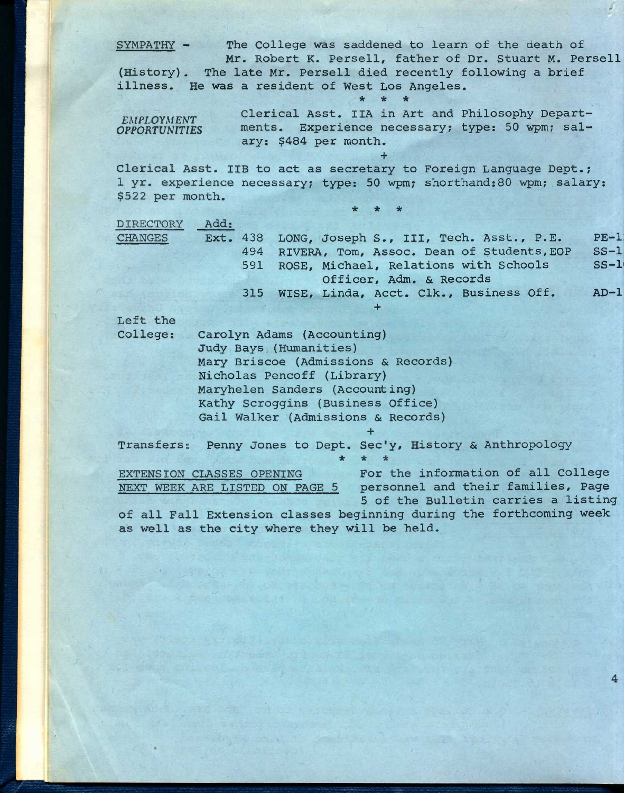**SYMPATHY - (History) The late Mr. Persell died recently following a brief illness. He was a resident of West Los Angeles. The College was saddened to learn of the death of Mr. Robert K. Persell, father of Dr. Stuart M. Persell \* \* \* Clerical Asst. IIA in Art and Philosophy Depart-***EMPLOYMENT* CIEILCAL ASSC. ITA IN ALC and PHILOSOPHY Deparc-<br> *OPPORTUNITIES* ments. Experience necessary; type: 50 wpm; salary: \$484 per month. **+ Clerical Asst. IIB to act as secretary to Foreign Language Dept.; 1 yr. experience necessary; type: 50 wpm; shorthand:80 wpm; salary: \$522 per month. \* \* \* DIRECTORY Add: CHANGES Ext. 438 494 591 315 WISE, Linda, Acct. Clk., Business Off.**  LONG, Joseph S., III, Tech. Asst., P.E. **RIVERA, Tom, Assoc. Dean of Students,EOP ROSE, Michael, Relations with Schools Officer, Adm. & Records + PE-i:**  ss-i: **SS-1( AD-i: Left the College: Carolyn Adams (Accounting) Records) Mary Briscoe (Admissions & Judy Bays (Humanities) Nicholas Pencoff (Library) Maryhelen Sanders (Accounting) Kathy Scroggins (Business Office) Gail Walker (Admissions & Records) +**  Transfers: Penny Jones to Dept. Sec'y, History & Anthropology **\* EXTENSION CLASSES OPENING NEXT WEEK ARE LISTED ON PAGE 5 \* \* For the information of all College personnel and their families. Page 5 of the Bulletin carries a listing of all Fall Extension classes beginning during the forthcoming week** 

**as well as the city where they will be held.**